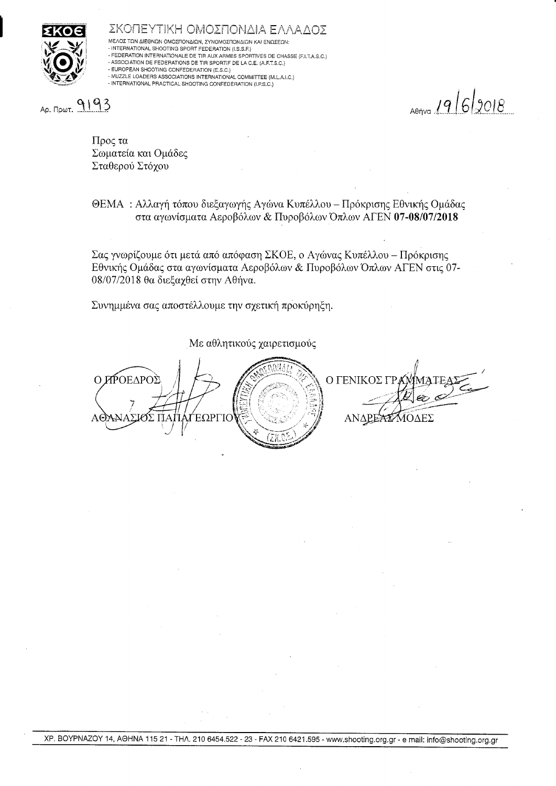

ΣΚΟΠΕΥΤΙΚΗ ΟΜΟΣΠΟΝΔΙΑ ΕΛΛΑΔΟΣ ΜΈΛΟΣ ΤΩΝ ΔΙΕΘΝΩΝ ΟΜΟΣΠΟΝΔΙΩΝ, ΣΥΝΟΜΟΣΠΟΝΔΙΩΝ ΚΑΙ ΕΝΩΣΕΩΝ: - INTERNATIONAL SHOOTING SPORT FEDERATION (I.S.S.F.) - FEDERATION INTERNATIONALE DE TIR AUX ARMES SPORTIVES DE CHASSE (F.I.T.A.S.C.) - ASSOCIATION DE FEDERATIONS DE TIR SPORTIF DE LA C.E. (A.F.T.S.C.)

- MUZZLE LOADERS ASSOCIATIONS INTERNATIONAL COMMITTEE (M.L.A.I.C.) - INTERNATIONAL PRACTICAL SHOOTING CONFEDERATION (I.P.S.C.)

Др. Пршт. 9193

 $19/6/2018$ 

Προς τα Σωματεία και Ομάδες Σταθερού Στόχου

- EUROPEAN SHOOTING CONFEDERATION (E.S.C.)

ΘΕΜΑ: Αλλαγή τόπου διεξαγωγής Αγώνα Κυπέλλου – Πρόκρισης Εθνικής Ομάδας στα αγωνίσματα Αεροβόλων & Πυροβόλων Όπλων ΑΓΕΝ 07-08/07/2018

Σας γνωρίζουμε ότι μετά από απόφαση ΣΚΟΕ, ο Αγώνας Κυπέλλου – Πρόκρισης Εθνικής Ομάδας στα αγωνίσματα Αεροβόλων & Πυροβόλων Όπλων ΑΓΕΝ στις 07-08/07/2018 θα διεξαχθεί στην Αθήνα.

Συνημμένα σας αποστέλλουμε την σχετική προκύρηξη.

Με αθλητικούς χαιρετισμούς

Ο ΠΡΟΕΔΡΟΣ Ο ΓΕΝΙΚΟΣ ΓΡ ΑΝΔΡΕΑΣΜΟΔΕΣ ΈΩF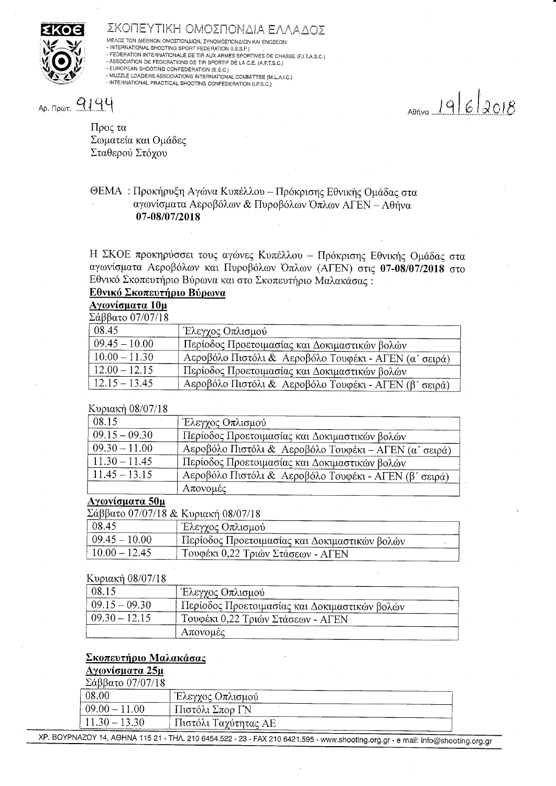

#### ΣΚΟΠΕΥΤΙΚΗ ΟΜΟΣΠΟΝΔΙΑ ΕΛΛΑΔΟΣ

ΜΈΛΟΣ ΤΩΝ ΔΙΕΘΝΩΝ ΟΜΟΣΠΟΝΔΙΩΝ, ΣΥΝΟΜΟΣΠΟΝΔΙΩΝ ΚΑΙ ΕΝΩΣΕΩΝ:<br>- INTERNATIONAL SHOOTING SPORT FEDERATION (I.S.S.F.)

- FEDERATION INTERNATIONALE DE TIR AUX ARMES SPORTIVES DE CHASSE (F.I.T.A.S.C.)

- ASSOCIATION DE FEDERATIONS DE TIR SPORTIF DE LA C.E. (A.F.T.S.C.)<br>- ASSOCIATION DE FEDERATIONS DE TIR SPORTIF DE LA C.E. (A.F.T.S.C.)

- MUZZLE LOADERS ASSOCIATIONS INTERNATIONAL COMMITTEE (M.L.A.I.C.) - INTERNATIONAL PRACTICAL SHOOTING CONFEDERATION (I.P.S.C.)

Ap.  $P_{\text{PQOT.}}$   $Q194$ 

 $19622018$ 

Προς τα Σωματεία και Ομάδες Σταθερού Στόχου

# ΘΕΜΑ: Προκήρυξη Αγώνα Κυπέλλου - Πρόκρισης Εθνικής Ομάδας στα αγωνίσματα Αεροβόλων & Πυροβόλων Όπλων ΑΓΕΝ - Αθήνα 07-08/07/2018

Η ΣΚΟΕ προκηρύσσει τους αγώνες Κυπέλλου - Πρόκρισης Εθνικής Ομάδας στα αγωνίσματα Αεροβόλων και Πυροβόλων Όπλων (ΑΓΕΝ) στις 07-08/07/2018 στο Εθνικό Σκοπευτήριο Βύρωνα και στο Σκοπευτήριο Μαλακάσας:

# Εθνικό Σκοπευτήριο Βύρωνα

#### Αγωνίσματα 10μ

 $\overline{\Sigma \alpha}$ ββατο 07/07/18

| 08.45           | Έλεγχος Οπλισμού                                      |
|-----------------|-------------------------------------------------------|
| $09.45 - 10.00$ | Περίοδος Προετοιμασίας και Δοκιμαστικών βολών         |
| $10.00 - 11.30$ | Αεροβόλο Πιστόλι & Αεροβόλο Τουφέκι - ΑΓΕΝ (α' σειρά) |
| $12.00 - 12.15$ | Περίοδος Προετοιμασίας και Δοκιμαστικών βολών         |
| $12.15 - 13.45$ | Αεροβόλο Πιστόλι & Αεροβόλο Τουφέκι - ΑΓΕΝ (β' σειρά) |

## Κυριακή 08/07/18

| 08.15           | Έλεγχος Οπλισμού                                      |
|-----------------|-------------------------------------------------------|
| $09.15 - 09.30$ | Περίοδος Προετοιμασίας και Δοκιμαστικών βολών         |
| $09.30 - 11.00$ | Αεροβόλο Πιστόλι & Αεροβόλο Τουφέκι - ΑΓΕΝ (α' σειρά) |
| $11.30 - 11.45$ | Περίοδος Προετοιμασίας και Δοκιμαστικών βολών         |
| $11.45 - 13.15$ | Αεροβόλο Πιστόλι & Αεροβόλο Τουφέκι - ΑΓΕΝ (β' σειρά) |
|                 | Απονομές                                              |

#### Αγωνίσματα 50μ

Σάββατο 07/07/18 & Κυριακή 08/07/18

| 08.45            | ι Έλεγχος Οπλισμού                              |  |
|------------------|-------------------------------------------------|--|
| $109.45 - 10.00$ | . Περίοδος Προετοιμασίας και Δοκιμαστικών βολών |  |
| $10.00 - 12.45$  | Τουφέκι 0,22 Τριών Στάσεων - ΑΓΕΝ               |  |

#### Κυριακή 08/07/18

| 08.15           | Έλεγχος Οπλισμού                              |  |
|-----------------|-----------------------------------------------|--|
| $09.15 - 09.30$ | Περίοδος Προετοιμασίας και Δοκιμαστικών βολών |  |
| $09.30 - 12.15$ | Τουφέκι 0,22 Τριών Στάσεων - ΑΓΕΝ             |  |
|                 | Απονομές                                      |  |

## Σκοπευτήριο Μαλακάσας

# Αγωνίσματα 25μ

| -Σαββατο $07/07/18$ |                      |
|---------------------|----------------------|
| 08.00               | Έλεγχος Οπλισμού     |
| $09.00 - 11.00$     | Πιστόλι Σπορ ΓΝ      |
| $11.30 - 13.30$     | Πιστόλι Ταχύτητας ΑΕ |
|                     |                      |

XP. BOYPNAZOY 14, AOHNA 115 21 - THA. 210 6454.522 - 23 - FAX 210 6421.595 - www.shooting.org.gr - e mail: info@shooting.org.gr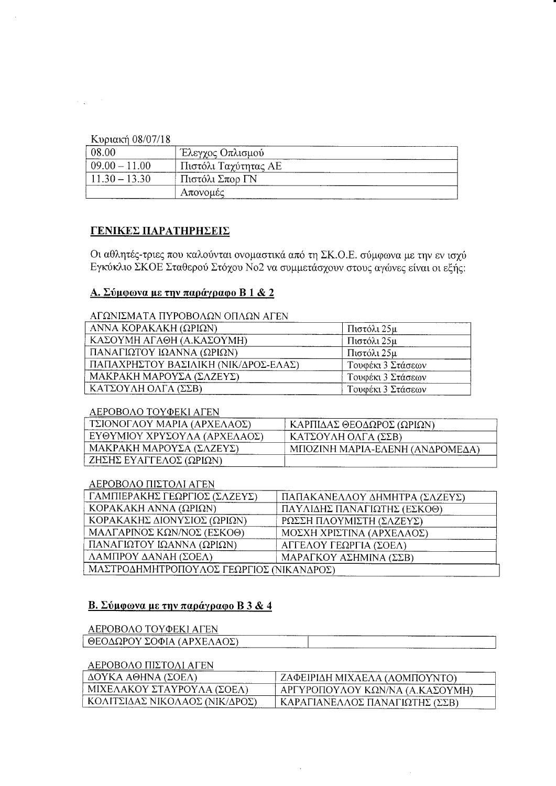Κυριακή 08/07/18

 $\Delta\Delta\sim 20$ 

| 08.00            | ∟Έλεγχος Οπλισμού    |  |
|------------------|----------------------|--|
| $09.00 - 11.00$  | Πιστόλι Ταχύτητας ΑΕ |  |
| $+11.30 - 13.30$ | Πιστόλι Σπορ ΓΝ      |  |
|                  | Απονομές             |  |

## ΓΕΝΙΚΕΣ ΠΑΡΑΤΗΡΗΣΕΙΣ

Οι αθλητές-τριες που καλούνται ονομαστικά από τη ΣΚ.Ο.Ε. σύμφωνα με την εν ισχύ Εγκύκλιο ΣΚΟΕ Σταθερού Στόχου Νο2 να συμμετάσχουν στους αγώνες είναι οι εξής:

## <u>Α. Σύμφωνα με την παράγραφο Β 1 & 2</u>

## ΑΓΩΝΙΣΜΑΤΑ ΠΥΡΟΒΟΛΩΝ ΟΠΛΩΝ ΑΓΕΝ

| ANNA KOPAKAKH (ΩΡΙΩΝ)                | Πιστόλι 25μ       |
|--------------------------------------|-------------------|
| ΚΑΣΟΥΜΗ ΑΓΑΘΗ (Α.ΚΑΣΟΥΜΗ)            | Πιστόλι 25μ       |
| ΠΑΝΑΓΙΩΤΟΥ ΙΩΑΝΝΑ (ΩΡΙΩΝ)            | Πιστόλι 25μ       |
| ΠΑΠΑΧΡΗΣΤΟΥ ΒΑΣΙΛΙΚΗ (ΝΙΚ/ΔΡΟΣ-ΕΛΑΣ) | Τουφέκι 3 Στάσεων |
| ΜΑΚΡΑΚΗ ΜΑΡΟΥΣΑ (ΣΛΖΕΥΣ)             | Τουφέκι 3 Στάσεων |
| ΚΑΤΣΟΥΛΗ ΟΛΓΑ (ΣΣΒ)                  | Τουφέκι 3 Στάσεων |

#### ΑΕΡΟΒΟΛΟ ΤΟΥΦΕΚΙ ΑΓΕΝ

| ΤΣΙΟΝΟΓΛΟΥ ΜΑΡΙΑ (ΑΡΧΕΛΑΟΣ)  | ΚΑΡΠΙΔΑΣ ΘΕΟΔΩΡΟΣ (ΩΡΙΩΝ)       |
|------------------------------|---------------------------------|
| ΕΥΘΥΜΙΟΥ ΧΡΥΣΟΥΛΑ (ΑΡΧΕΛΑΟΣ) | ΚΑΤΣΟΥΛΗ ΟΛΓΑ (ΣΣΒ)             |
| ΜΑΚΡΑΚΗ ΜΑΡΟΥΣΑ (ΣΛΖΕΥΣ)     | ΜΠΟΖΙΝΗ ΜΑΡΙΑ-ΕΛΕΝΗ (ΑΝΔΡΟΜΕΔΑ) |
| ΖΗΣΗΣ ΕΥΑΓΓΕΛΟΣ (ΩΡΙΩΝ)      |                                 |

## ΑΕΡΟΒΟΛΟ ΠΙΣΤΟΛΙ ΑΓΕΝ

| ΓΑΜΠΙΕΡΑΚΗΣ ΓΕΩΡΓΙΟΣ (ΣΛΖΕΥΣ)            | ΠΑΠΑΚΑΝΕΛΛΟΥ ΔΗΜΗΤΡΑ (ΣΛΖΕΥΣ) |  |  |  |
|------------------------------------------|-------------------------------|--|--|--|
| KOPAKAKH ANNA (ΩΡΙΩΝ)                    | ΠΑΥΛΙΔΗΣ ΠΑΝΑΓΙΩΤΗΣ (ΕΣΚΟΘ)   |  |  |  |
| ΚΟΡΑΚΑΚΗΣ ΔΙΟΝΥΣΙΟΣ (ΩΡΙΩΝ)              | ΡΩΣΣΗ ΠΛΟΥΜΙΣΤΗ (ΣΛΖΕΥΣ)      |  |  |  |
| ΜΑΛΓΑΡΙΝΟΣ ΚΩΝ/ΝΟΣ (ΕΣΚΟΘ)               | ΜΟΣΧΗ ΧΡΙΣΤΙΝΑ (ΑΡΧΕΛΑΟΣ)     |  |  |  |
| ΠΑΝΑΓΙΩΤΟΥ ΙΩΑΝΝΑ (ΩΡΙΩΝ)                | ΑΓΓΕΛΟΥ ΓΕΩΡΓΙΑ (ΣΟΕΛ)        |  |  |  |
| ΛΑΜΠΡΟΥ ΔΑΝΑΗ (ΣΟΕΛ)                     | ΜΑΡΑΓΚΟΥ ΑΣΗΜΙΝΑ (ΣΣΒ)        |  |  |  |
| ΜΑΣΤΡΟΔΗΜΗΤΡΟΠΟΥΛΟΣ ΓΕΩΡΓΙΟΣ (ΝΙΚΑΝΔΡΟΣ) |                               |  |  |  |

# Β. Σύμφωνα με την παράγραφο Β3 & 4

# ΑΕΡΟΒΟΛΟ ΤΟΥΦΕΚΙ ΑΓΕΝ

| ΘΕΟΔΩΡΟΥ<br>ΟΦΙΑ (ΑΡΧΕΛΑΟΣ)<br>. .<br>_____ | _____ | --------<br><b>Service Service</b> |
|---------------------------------------------|-------|------------------------------------|
|                                             | ----  | -------                            |

## ΑΕΡΟΒΟΛΟ ΠΙΣΤΟΛΙ ΑΓΕΝ

| $\Delta$ OYKA AΘHNA (ΣΟΕΛ)     | ΖΑΦΕΙΡΙΔΗ ΜΙΧΑΕΛΑ (ΑΟΜΠΟΥΝΤΟ)   |
|--------------------------------|---------------------------------|
| . ΜΙΧΕΛΑΚΟΥ ΣΤΑΥΡΟΥΛΑ (ΣΟΕΛ)   | ΑΡΓΥΡΟΠΟΥΛΟΥ ΚΩΝ/ΝΑ (Α.ΚΑΣΟΥΜΗ) |
| ΚΟΛΙΤΣΙΔΑΣ ΝΙΚΟΛΑΟΣ (ΝΙΚ/ΔΡΟΣ) | ΚΑΡΑΓΙΑΝΕΛΛΟΣ ΠΑΝΑΓΙΩΤΗΣ (ΣΣΒ)  |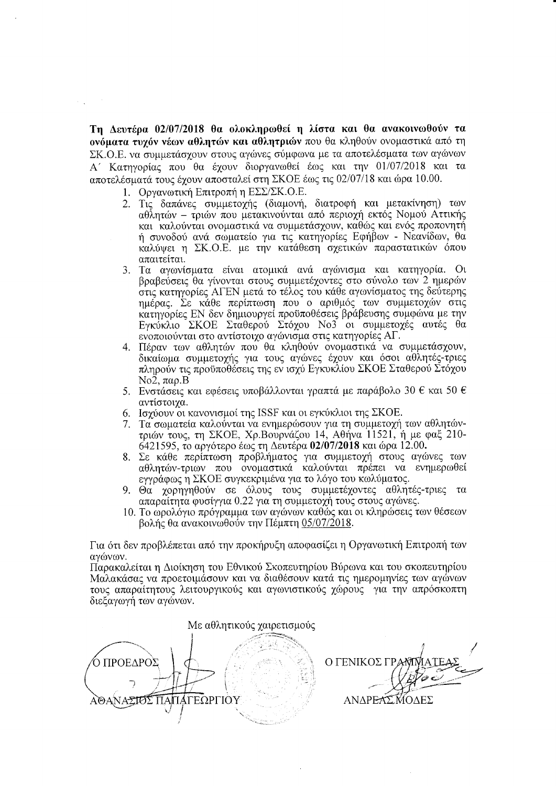Tη Δευτέρα 02/07/2018 θα ολοκληρωθεί η λίστα και θα ανακοινωθούν τα ovόματα τυχόν νέων αθλητών και αθλητριών που θα κληθούν ονομαστικά από τη ΣΚ.Ο.Ε. να συμμετάσχουν στους αγώνες σύμφωνα με τα αποτελέσματα των αγώνων A' Κατηγορίας που θα έχουν διοργανωθεί έως και την 01/07/2018 και τα  $\alpha$ ποτελέσματά τους έγουν αποσταλεί στη ΣΚΟΕ έως τις 02/07/18 και ώρα 10.00.

- 1. Οργανωτική Επιτροπή η ΕΣΣ/ΣΚ.Ο.Ε.
- 2. Τις δαπάνες συμμετοχής (διαμονή, διατροφή και μετακίνηση) των  $\alpha$ θλητών - τριών που μετακινούνται από περιοχή εκτός Νομού Αττικής και καλούνται ονομαστικά να συμμετάσχουν, καθώς και ενός προπονητή ή συνοδού ανά σωματείο για τις κατηγορίες Εφήβων - Νεανίδων, θα καλύψει η ΣΚ.Ο.Ε. με την κατάθεση σχετικών παραστατικών όπου aπαιτείται.
- 3. Τα αγωνίσματα είναι ατομικά ανά αγώνισμα και κατηγορία. Οι βραβεύσεις θα γίνονται στους συμμετέχοντες στο σύνολο των 2 ημερών oτις κατηγορίες AΓEN μετά το τέλος του κάθε αγωνίσματος της δεύτερης ημέρας. Σε κάθε περίπτωση που ο αριθμός των συμμετοχών στις κατηγορίες EN δεν δημιουργεί προϋποθέσεις βράβευσης συμφώνα με την Εγκύκλιο ΣΚΟΕ Σταθερού Στόχου Νο3 οι συμμετοχές αυτές θα ενοποιούνται στο αντίστοιχο αγώνισμα στις κατηγορίες ΑΓ.
- 4. Πέραν των αθλητών που θα κληθούν ονομαστικά να συμμετάσχουν, δικαίωμα συμμετοχής για τους αγώνες έχουν και όσοι αθλητές-τριες πληρούν τις προϋποθέσεις της εν ισχύ Εγκυκλίου ΣΚΟΕ Σταθερού Στόχου No2,  $\pi\alpha$ o.B
- 5. Evoτάσεις και εφέσεις υποβάλλονται γραπτά με παράβολο 30 € και 50 € αντίστοιχα.
- 6. Ισχύουν οι κανονισμοί της ISSF και οι εγκύκλιοι της ΣΚΟΕ.<br>7. Τα σωματεία καλούνται να ενημερώσουν για τη συμμετοχή
- Tα σωματεία καλούνται να ενημερώσουν για τη συμμετοχή των αθλητώντριών τους, τη ΣΚΟΕ, Χρ.Βουρνάζου 14, Αθήνα 11521, ή με φαξ 210-6421595, το αργότερο έως τη Δευτέρα 02/07/2018 και ώρα 12.00.
- 8. Σε κάθε περίπτωση προβλήματος για συμμετοχή στους αγώνες των αθλητών-τριων που ονομαστικά καλούνται πρέπει να ενημερωθεί εγγράφως η ΣΚΟΕ συγκεκριμένα για το λόγο του κωλύματος.
- 9. Θα χορηγηθούν σε όλους τους συμμετέχοντες αθλητές-τριες τα απαραίτητα φυσίγγια 0.22 για τη συμμετοχή τους στους αγώνες.
- 10. Το ωρολόγιο πρόγραμμα των αγώνων καθώς και οι κληρώσεις των θέσεων βολής θα ανακοινωθούν την Πέμπτη 05/07/2018.

Για ότι δεν προβλέπεται από την προκήρυξη αποφασίζει η Οργανωτική Επιτροπή των αγώνων.

Παρακαλείται η Διοίκηση του Εθνικού Σκοπευτηρίου Βύρωνα και του σκοπευτηρίου Μαλακάσας να προετοιμάσουν και να διαθέσουν κατά τις ημερομηνίες των αγώνων τους απαραίτητους λειτουργικούς και αγωνιστικούς γώρους για την απρόσκοπτη διεξαγωγή των αγώνων.

Με αθλητικούς χαιρετισμούς Ό ΠΡΟΕΔΡΟΣ Ο ΓΕΝΙΚΟΣ ΓΡ  $\mathcal{P}$  i ,<br>ΌΔΕΣ ΘΑΝΑΣΙΟΣ ΠΑΠΑΓΕΩΡΓΙΟΥ